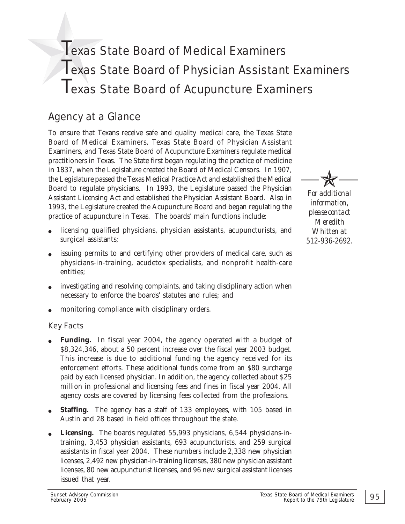# Texas State Board of Medical Examiners Texas State Board of Physician Assistant Examiners Texas State Board of Acupuncture Examiners

# Agency at a Glance

To ensure that Texans receive safe and quality medical care, the Texas State Board of Medical Examiners, Texas State Board of Physician Assistant Examiners, and Texas State Board of Acupuncture Examiners regulate medical practitioners in Texas. The State first began regulating the practice of medicine in 1837, when the Legislature created the Board of Medical Censors. In 1907, the Legislature passed the Texas Medical Practice Act and established the Medical Board to regulate physicians. In 1993, the Legislature passed the Physician Assistant Licensing Act and established the Physician Assistant Board. Also in 1993, the Legislature created the Acupuncture Board and began regulating the practice of acupuncture in Texas. The boards' main functions include:

- licensing qualified physicians, physician assistants, acupuncturists, and surgical assistants;
- issuing permits to and certifying other providers of medical care, such as physicians-in-training, acudetox specialists, and nonprofit health-care entities;
- investigating and resolving complaints, and taking disciplinary action when necessary to enforce the boards' statutes and rules; and
- monitoring compliance with disciplinary orders.

### Key Facts

- **Funding.** In fiscal year 2004, the agency operated with a budget of \$8,324,346, about a 50 percent increase over the fiscal year 2003 budget. This increase is due to additional funding the agency received for its enforcement efforts. These additional funds come from an \$80 surcharge paid by each licensed physician. In addition, the agency collected about \$25 million in professional and licensing fees and fines in fiscal year 2004. All agency costs are covered by licensing fees collected from the professions.
- **Staffing.** The agency has a staff of 133 employees, with 105 based in Austin and 28 based in field offices throughout the state.
- Licensing. The boards regulated 55,993 physicians, 6,544 physicians-intraining, 3,453 physician assistants, 693 acupuncturists, and 259 surgical assistants in fiscal year 2004. These numbers include 2,338 new physician licenses, 2,492 new physician-in-training licenses, 380 new physician assistant licenses, 80 new acupuncturist licenses, and 96 new surgical assistant licenses issued that year.

 $\cancel{\mathbb{X}}$ 

*For additional information, please contact Meredith Whitten at 512-936-2692.*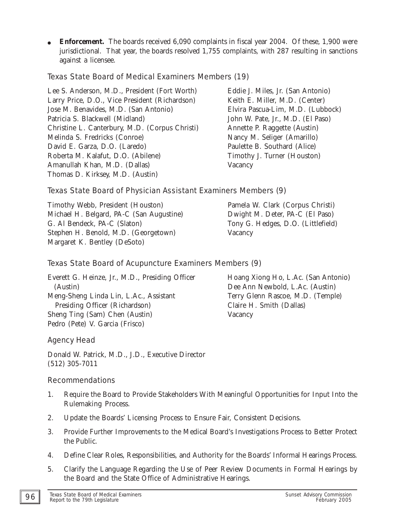• **Enforcement.** The boards received 6,090 complaints in fiscal year 2004. Of these, 1,900 were jurisdictional. That year, the boards resolved 1,755 complaints, with 287 resulting in sanctions against a licensee.

#### Texas State Board of Medical Examiners Members (19)

Lee S. Anderson, M.D., President (Fort Worth) Eddie J. Miles, Jr. (San Antonio) Larry Price, D.O., Vice President (Richardson) Keith E. Miller, M.D. (Center) Jose M. Benavides, M.D. (San Antonio) Elvira Pascua-Lim, M.D. (Lubbock) Patricia S. Blackwell (Midland) John W. Pate, Jr., M.D. (El Paso) Christine L. Canterbury, M.D. (Corpus Christi) Annette P. Raggette (Austin) Melinda S. Fredricks (Conroe) Nancy M. Seliger (Amarillo) David E. Garza, D.O. (Laredo) Paulette B. Southard (Alice) Roberta M. Kalafut, D.O. (Abilene) Timothy J. Turner (Houston) Amanullah Khan, M.D. (Dallas) Vacancy Thomas D. Kirksey, M.D. (Austin)

### Texas State Board of Physician Assistant Examiners Members (9)

Timothy Webb, President (Houston) Pamela W. Clark (Corpus Christi) Michael H. Belgard, PA-C (San Augustine) Dwight M. Deter, PA-C (El Paso) G. Al Bendeck, PA-C (Slaton) Tony G. Hedges, D.O. (Littlefield) Stephen H. Benold, M.D. (Georgetown) Vacancy Margaret K. Bentley (DeSoto)

### Texas State Board of Acupuncture Examiners Members (9)

Everett G. Heinze, Jr., M.D., Presiding Officer Hoang Xiong Ho, L.Ac. (San Antonio) (Austin) Dee Ann Newbold, L.Ac. (Austin) Meng-Sheng Linda Lin, L.Ac., Assistant Terry Glenn Rascoe, M.D. (Temple) Presiding Officer (Richardson) Claire H. Smith (Dallas) Sheng Ting (Sam) Chen (Austin) Vacancy Pedro (Pete) V. Garcia (Frisco)

Agency Head

Donald W. Patrick, M.D., J.D., Executive Director (512) 305-7011

#### Recommendations

- 1. Require the Board to Provide Stakeholders With Meaningful Opportunities for Input Into the Rulemaking Process.
- 2. Update the Boards' Licensing Process to Ensure Fair, Consistent Decisions.
- 3. Provide Further Improvements to the Medical Board's Investigations Process to Better Protect the Public.
- 4. Define Clear Roles, Responsibilities, and Authority for the Boards' Informal Hearings Process.
- 5. Clarify the Language Regarding the Use of Peer Review Documents in Formal Hearings by the Board and the State Office of Administrative Hearings.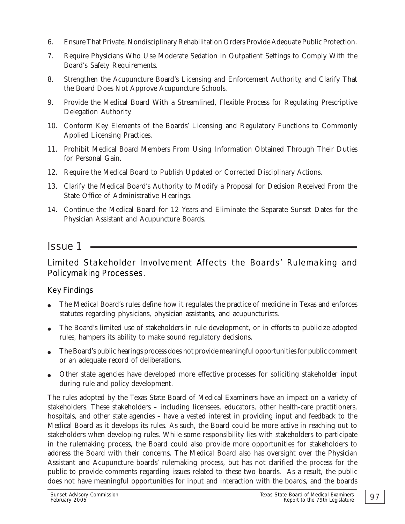- 6. Ensure That Private, Nondisciplinary Rehabilitation Orders Provide Adequate Public Protection.
- 7. Require Physicians Who Use Moderate Sedation in Outpatient Settings to Comply With the Board's Safety Requirements.
- 8. Strengthen the Acupuncture Board's Licensing and Enforcement Authority, and Clarify That the Board Does Not Approve Acupuncture Schools.
- 9. Provide the Medical Board With a Streamlined, Flexible Process for Regulating Prescriptive Delegation Authority.
- 10. Conform Key Elements of the Boards' Licensing and Regulatory Functions to Commonly Applied Licensing Practices.
- 11. Prohibit Medical Board Members From Using Information Obtained Through Their Duties for Personal Gain.
- 12. Require the Medical Board to Publish Updated or Corrected Disciplinary Actions.
- 13. Clarify the Medical Board's Authority to Modify a Proposal for Decision Received From the State Office of Administrative Hearings.
- 14. Continue the Medical Board for 12 Years and Eliminate the Separate Sunset Dates for the Physician Assistant and Acupuncture Boards.

# *Issue 1*

## Limited Stakeholder Involvement Affects the Boards' Rulemaking and Policymaking Processes.

### Key Findings

- " The Medical Board's rules define how it regulates the practice of medicine in Texas and enforces statutes regarding physicians, physician assistants, and acupuncturists.
- " The Board's limited use of stakeholders in rule development, or in efforts to publicize adopted rules, hampers its ability to make sound regulatory decisions.
- The Board's public hearings process does not provide meaningful opportunities for public comment or an adequate record of deliberations.
- Other state agencies have developed more effective processes for soliciting stakeholder input during rule and policy development.

The rules adopted by the Texas State Board of Medical Examiners have an impact on a variety of stakeholders. These stakeholders – including licensees, educators, other health-care practitioners, hospitals, and other state agencies – have a vested interest in providing input and feedback to the Medical Board as it develops its rules. As such, the Board could be more active in reaching out to stakeholders when developing rules. While some responsibility lies with stakeholders to participate in the rulemaking process, the Board could also provide more opportunities for stakeholders to address the Board with their concerns. The Medical Board also has oversight over the Physician Assistant and Acupuncture boards' rulemaking process, but has not clarified the process for the public to provide comments regarding issues related to these two boards. As a result, the public does not have meaningful opportunities for input and interaction with the boards, and the boards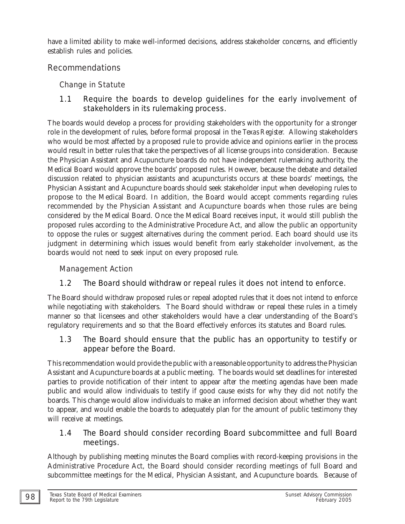have a limited ability to make well-informed decisions, address stakeholder concerns, and efficiently establish rules and policies.

### Recommendations

## Change in Statute

### 1.1 Require the boards to develop guidelines for the early involvement of stakeholders in its rulemaking process.

The boards would develop a process for providing stakeholders with the opportunity for a stronger role in the development of rules, before formal proposal in the *Texas Register.* Allowing stakeholders who would be most affected by a proposed rule to provide advice and opinions earlier in the process would result in better rules that take the perspectives of all license groups into consideration. Because the Physician Assistant and Acupuncture boards do not have independent rulemaking authority, the Medical Board would approve the boards' proposed rules. However, because the debate and detailed discussion related to physician assistants and acupuncturists occurs at these boards' meetings, the Physician Assistant and Acupuncture boards should seek stakeholder input when developing rules to propose to the Medical Board. In addition, the Board would accept comments regarding rules recommended by the Physician Assistant and Acupuncture boards when those rules are being considered by the Medical Board. Once the Medical Board receives input, it would still publish the proposed rules according to the Administrative Procedure Act, and allow the public an opportunity to oppose the rules or suggest alternatives during the comment period. Each board should use its judgment in determining which issues would benefit from early stakeholder involvement, as the boards would not need to seek input on every proposed rule.

### Management Action

# 1.2 The Board should withdraw or repeal rules it does not intend to enforce.

The Board should withdraw proposed rules or repeal adopted rules that it does not intend to enforce while negotiating with stakeholders. The Board should withdraw or repeal these rules in a timely manner so that licensees and other stakeholders would have a clear understanding of the Board's regulatory requirements and so that the Board effectively enforces its statutes and Board rules.

### 1.3 The Board should ensure that the public has an opportunity to testify or appear before the Board.

This recommendation would provide the public with a reasonable opportunity to address the Physician Assistant and Acupuncture boards at a public meeting. The boards would set deadlines for interested parties to provide notification of their intent to appear *after* the meeting agendas have been made public and would allow individuals to testify if good cause exists for why they did not notify the boards. This change would allow individuals to make an informed decision about whether they want to appear, and would enable the boards to adequately plan for the amount of public testimony they will receive at meetings.

### 1.4 The Board should consider recording Board subcommittee and full Board meetings.

Although by publishing meeting minutes the Board complies with record-keeping provisions in the Administrative Procedure Act, the Board should consider recording meetings of full Board and subcommittee meetings for the Medical, Physician Assistant, and Acupuncture boards. Because of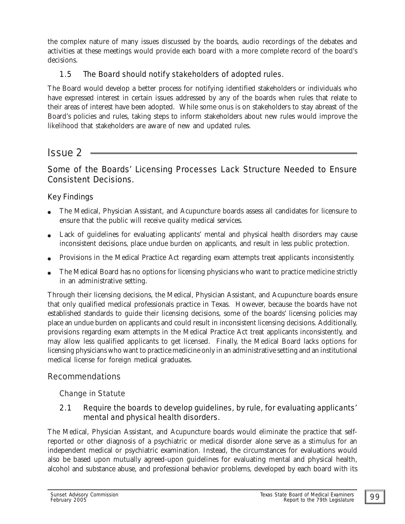the complex nature of many issues discussed by the boards, audio recordings of the debates and activities at these meetings would provide each board with a more complete record of the board's decisions.

### 1.5 The Board should notify stakeholders of adopted rules.

The Board would develop a better process for notifying identified stakeholders or individuals who have expressed interest in certain issues addressed by any of the boards when rules that relate to their areas of interest have been adopted. While some onus is on stakeholders to stay abreast of the Board's policies and rules, taking steps to inform stakeholders about new rules would improve the likelihood that stakeholders are aware of new and updated rules.

# *Issue 2*

### Some of the Boards' Licensing Processes Lack Structure Needed to Ensure Consistent Decisions.

### Key Findings

- The Medical, Physician Assistant, and Acupuncture boards assess all candidates for licensure to ensure that the public will receive quality medical services.
- Lack of guidelines for evaluating applicants' mental and physical health disorders may cause inconsistent decisions, place undue burden on applicants, and result in less public protection.
- " Provisions in the Medical Practice Act regarding exam attempts treat applicants inconsistently.
- The Medical Board has no options for licensing physicians who want to practice medicine strictly in an administrative setting.

Through their licensing decisions, the Medical, Physician Assistant, and Acupuncture boards ensure that only qualified medical professionals practice in Texas. However, because the boards have not established standards to guide their licensing decisions, some of the boards' licensing policies may place an undue burden on applicants and could result in inconsistent licensing decisions. Additionally, provisions regarding exam attempts in the Medical Practice Act treat applicants inconsistently, and may allow less qualified applicants to get licensed. Finally, the Medical Board lacks options for licensing physicians who want to practice medicine only in an administrative setting and an institutional medical license for foreign medical graduates.

### Recommendations

### Change in Statute

### 2.1 Require the boards to develop guidelines, by rule, for evaluating applicants' mental and physical health disorders.

The Medical, Physician Assistant, and Acupuncture boards would eliminate the practice that selfreported or other diagnosis of a psychiatric or medical disorder alone serve as a stimulus for an independent medical or psychiatric examination. Instead, the circumstances for evaluations would also be based upon mutually agreed-upon guidelines for evaluating mental and physical health, alcohol and substance abuse, and professional behavior problems, developed by each board with its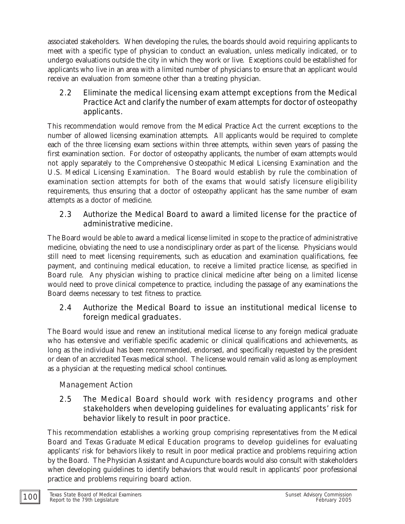associated stakeholders. When developing the rules, the boards should avoid requiring applicants to meet with a specific type of physician to conduct an evaluation, unless medically indicated, or to undergo evaluations outside the city in which they work or live. Exceptions could be established for applicants who live in an area with a limited number of physicians to ensure that an applicant would receive an evaluation from someone other than a treating physician.

### 2.2 Eliminate the medical licensing exam attempt exceptions from the Medical Practice Act and clarify the number of exam attempts for doctor of osteopathy applicants.

This recommendation would remove from the Medical Practice Act the current exceptions to the number of allowed licensing examination attempts. All applicants would be required to complete each of the three licensing exam sections within three attempts, within seven years of passing the first examination section. For doctor of osteopathy applicants, the number of exam attempts would not apply separately to the Comprehensive Osteopathic Medical Licensing Examination and the U.S. Medical Licensing Examination. The Board would establish by rule the combination of examination section attempts for both of the exams that would satisfy licensure eligibility requirements, thus ensuring that a doctor of osteopathy applicant has the same number of exam attempts as a doctor of medicine.

### 2.3 Authorize the Medical Board to award a limited license for the practice of administrative medicine.

The Board would be able to award a medical license limited in scope to the practice of administrative medicine, obviating the need to use a nondisciplinary order as part of the license. Physicians would still need to meet licensing requirements, such as education and examination qualifications, fee payment, and continuing medical education, to receive a limited practice license, as specified in Board rule. Any physician wishing to practice clinical medicine after being on a limited license would need to prove clinical competence to practice, including the passage of any examinations the Board deems necessary to test fitness to practice.

### 2.4 Authorize the Medical Board to issue an institutional medical license to foreign medical graduates.

The Board would issue and renew an institutional medical license to any foreign medical graduate who has extensive and verifiable specific academic or clinical qualifications and achievements, as long as the individual has been recommended, endorsed, and specifically requested by the president or dean of an accredited Texas medical school. The license would remain valid as long as employment as a physician at the requesting medical school continues.

### Management Action

### 2.5 The Medical Board should work with residency programs and other stakeholders when developing guidelines for evaluating applicants' risk for behavior likely to result in poor practice.

This recommendation establishes a working group comprising representatives from the Medical Board and Texas Graduate Medical Education programs to develop guidelines for evaluating applicants' risk for behaviors likely to result in poor medical practice and problems requiring action by the Board. The Physician Assistant and Acupuncture boards would also consult with stakeholders when developing guidelines to identify behaviors that would result in applicants' poor professional practice and problems requiring board action.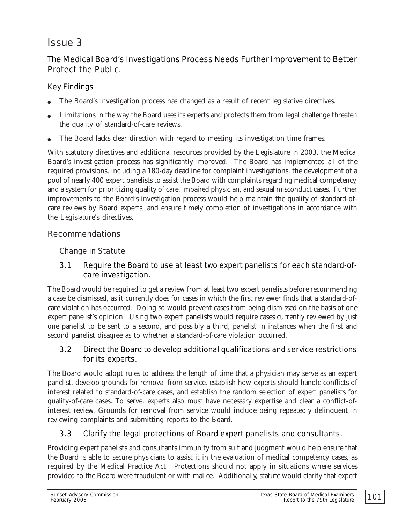# *Issue 3*

### The Medical Board's Investigations Process Needs Further Improvement to Better Protect the Public.

### Key Findings

- The Board's investigation process has changed as a result of recent legislative directives.
- Limitations in the way the Board uses its experts and protects them from legal challenge threaten the quality of standard-of-care reviews.
- The Board lacks clear direction with regard to meeting its investigation time frames.

With statutory directives and additional resources provided by the Legislature in 2003, the Medical Board's investigation process has significantly improved. The Board has implemented all of the required provisions, including a 180-day deadline for complaint investigations, the development of a pool of nearly 400 expert panelists to assist the Board with complaints regarding medical competency, and a system for prioritizing quality of care, impaired physician, and sexual misconduct cases. Further improvements to the Board's investigation process would help maintain the quality of standard-ofcare reviews by Board experts, and ensure timely completion of investigations in accordance with the Legislature's directives.

### Recommendations

### Change in Statute

### 3.1 Require the Board to use at least two expert panelists for each standard-ofcare investigation.

The Board would be required to get a review from at least two expert panelists before recommending a case be dismissed, as it currently does for cases in which the first reviewer finds that a standard-ofcare violation has occurred. Doing so would prevent cases from being dismissed on the basis of one expert panelist's opinion. Using two expert panelists would require cases currently reviewed by just one panelist to be sent to a second, and possibly a third, panelist in instances when the first and second panelist disagree as to whether a standard-of-care violation occurred.

### 3.2 Direct the Board to develop additional qualifications and service restrictions for its experts.

The Board would adopt rules to address the length of time that a physician may serve as an expert panelist, develop grounds for removal from service, establish how experts should handle conflicts of interest related to standard-of-care cases, and establish the random selection of expert panelists for quality-of-care cases. To serve, experts also must have necessary expertise and clear a conflict-ofinterest review. Grounds for removal from service would include being repeatedly delinquent in reviewing complaints and submitting reports to the Board.

# 3.3 Clarify the legal protections of Board expert panelists and consultants.

Providing expert panelists and consultants immunity from suit and judgment would help ensure that the Board is able to secure physicians to assist it in the evaluation of medical competency cases, as required by the Medical Practice Act. Protections should not apply in situations where services provided to the Board were fraudulent or with malice. Additionally, statute would clarify that expert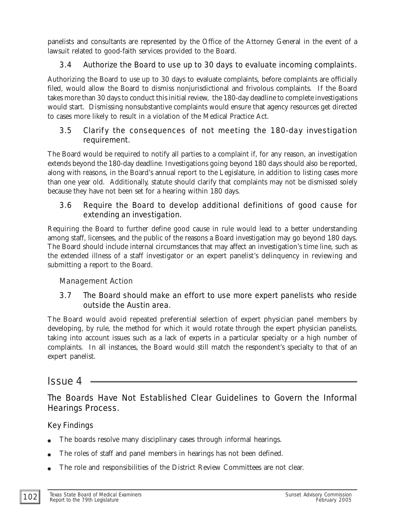panelists and consultants are represented by the Office of the Attorney General in the event of a lawsuit related to good-faith services provided to the Board.

### 3.4 Authorize the Board to use up to 30 days to evaluate incoming complaints.

Authorizing the Board to use up to 30 days to evaluate complaints, before complaints are officially filed, would allow the Board to dismiss nonjurisdictional and frivolous complaints. If the Board takes more than 30 days to conduct this initial review, the 180-day deadline to complete investigations would start. Dismissing nonsubstantive complaints would ensure that agency resources get directed to cases more likely to result in a violation of the Medical Practice Act.

### 3.5 Clarify the consequences of not meeting the 180-day investigation requirement.

The Board would be required to notify all parties to a complaint if, for any reason, an investigation extends beyond the 180-day deadline. Investigations going beyond 180 days should also be reported, along with reasons, in the Board's annual report to the Legislature, in addition to listing cases more than one year old. Additionally, statute should clarify that complaints may not be dismissed solely because they have not been set for a hearing within 180 days.

### 3.6 Require the Board to develop additional definitions of good cause for extending an investigation.

Requiring the Board to further define good cause in rule would lead to a better understanding among staff, licensees, and the public of the reasons a Board investigation may go beyond 180 days. The Board should include internal circumstances that may affect an investigation's time line, such as the extended illness of a staff investigator or an expert panelist's delinquency in reviewing and submitting a report to the Board.

### Management Action

### 3.7 The Board should make an effort to use more expert panelists who reside outside the Austin area.

The Board would avoid repeated preferential selection of expert physician panel members by developing, by rule, the method for which it would rotate through the expert physician panelists, taking into account issues such as a lack of experts in a particular specialty or a high number of complaints. In all instances, the Board would still match the respondent's specialty to that of an expert panelist.

# *Issue 4*

# The Boards Have Not Established Clear Guidelines to Govern the Informal Hearings Process.

### Key Findings

- The boards resolve many disciplinary cases through informal hearings.
- The roles of staff and panel members in hearings has not been defined.
- The role and responsibilities of the District Review Committees are not clear.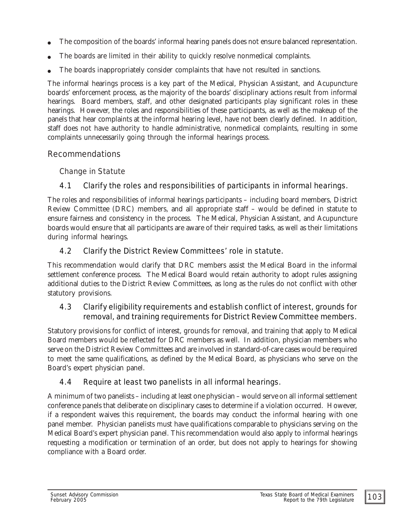- The composition of the boards' informal hearing panels does not ensure balanced representation.
- The boards are limited in their ability to quickly resolve nonmedical complaints.
- The boards inappropriately consider complaints that have not resulted in sanctions.

The informal hearings process is a key part of the Medical, Physician Assistant, and Acupuncture boards' enforcement process, as the majority of the boards' disciplinary actions result from informal hearings. Board members, staff, and other designated participants play significant roles in these hearings. However, the roles and responsibilities of these participants, as well as the makeup of the panels that hear complaints at the informal hearing level, have not been clearly defined. In addition, staff does not have authority to handle administrative, nonmedical complaints, resulting in some complaints unnecessarily going through the informal hearings process.

#### Recommendations

#### Change in Statute

### 4.1 Clarify the roles and responsibilities of participants in informal hearings.

The roles and responsibilities of informal hearings participants – including board members, District Review Committee (DRC) members, and all appropriate staff – would be defined in statute to ensure fairness and consistency in the process. The Medical, Physician Assistant, and Acupuncture boards would ensure that all participants are aware of their required tasks, as well as their limitations during informal hearings.

### 4.2 Clarify the District Review Committees' role in statute.

This recommendation would clarify that DRC members assist the Medical Board in the informal settlement conference process. The Medical Board would retain authority to adopt rules assigning additional duties to the District Review Committees, as long as the rules do not conflict with other statutory provisions.

### 4.3 Clarify eligibility requirements and establish conflict of interest, grounds for removal, and training requirements for District Review Committee members.

Statutory provisions for conflict of interest, grounds for removal, and training that apply to Medical Board members would be reflected for DRC members as well. In addition, physician members who serve on the District Review Committees and are involved in standard-of-care cases would be required to meet the same qualifications, as defined by the Medical Board, as physicians who serve on the Board's expert physician panel.

### 4.4 Require at least two panelists in all informal hearings.

A minimum of two panelists – including at least one physician – would serve on all informal settlement conference panels that deliberate on disciplinary cases to determine if a violation occurred. However, if a respondent waives this requirement, the boards may conduct the informal hearing with one panel member. Physician panelists must have qualifications comparable to physicians serving on the Medical Board's expert physician panel. This recommendation would also apply to informal hearings requesting a modification or termination of an order, but does not apply to hearings for showing compliance with a Board order.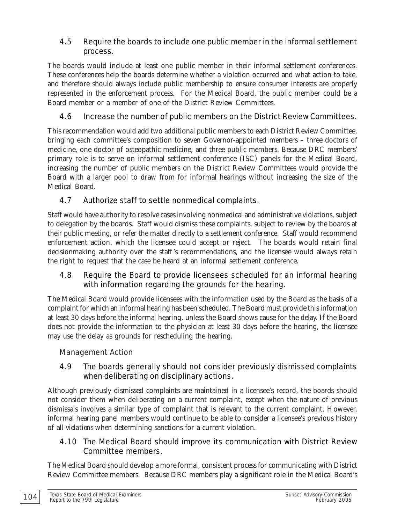### 4.5 Require the boards to include one public member in the informal settlement process.

The boards would include at least one public member in their informal settlement conferences. These conferences help the boards determine whether a violation occurred and what action to take, and therefore should always include public membership to ensure consumer interests are properly represented in the enforcement process. For the Medical Board, the public member could be a Board member or a member of one of the District Review Committees.

### 4.6 Increase the number of public members on the District Review Committees.

This recommendation would add two additional public members to each District Review Committee, bringing each committee's composition to seven Governor-appointed members – three doctors of medicine, one doctor of osteopathic medicine, and three public members. Because DRC members' primary role is to serve on informal settlement conference (ISC) panels for the Medical Board, increasing the number of public members on the District Review Committees would provide the Board with a larger pool to draw from for informal hearings without increasing the size of the Medical Board.

## 4.7 Authorize staff to settle nonmedical complaints.

Staff would have authority to resolve cases involving nonmedical and administrative violations, subject to delegation by the boards. Staff would dismiss these complaints, subject to review by the boards at their public meeting, or refer the matter directly to a settlement conference. Staff would recommend enforcement action, which the licensee could accept or reject. The boards would retain final decisionmaking authority over the staff 's recommendations, and the licensee would always retain the right to request that the case be heard at an informal settlement conference.

### 4.8 Require the Board to provide licensees scheduled for an informal hearing with information regarding the grounds for the hearing.

The Medical Board would provide licensees with the information used by the Board as the basis of a complaint for which an informal hearing has been scheduled. The Board must provide this information at least 30 days before the informal hearing, unless the Board shows cause for the delay. If the Board does not provide the information to the physician at least 30 days before the hearing, the licensee may use the delay as grounds for rescheduling the hearing.

### Management Action

### 4.9 The boards generally should not consider previously dismissed complaints when deliberating on disciplinary actions.

Although previously dismissed complaints are maintained in a licensee's record, the boards should not consider them when deliberating on a current complaint, except when the nature of previous dismissals involves a similar type of complaint that is relevant to the current complaint. However, informal hearing panel members would continue to be able to consider a licensee's previous history of all *violations* when determining sanctions for a current violation.

### 4.10 The Medical Board should improve its communication with District Review Committee members.

The Medical Board should develop a more formal, consistent process for communicating with District Review Committee members. Because DRC members play a significant role in the Medical Board's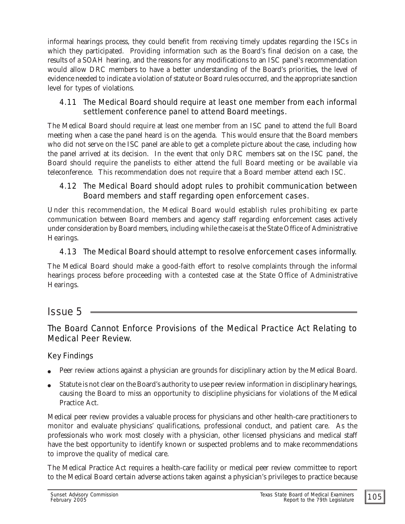informal hearings process, they could benefit from receiving timely updates regarding the ISCs in which they participated. Providing information such as the Board's final decision on a case, the results of a SOAH hearing, and the reasons for any modifications to an ISC panel's recommendation would allow DRC members to have a better understanding of the Board's priorities, the level of evidence needed to indicate a violation of statute or Board rules occurred, and the appropriate sanction level for types of violations.

### 4.11 The Medical Board should require at least one member from each informal settlement conference panel to attend Board meetings.

The Medical Board should require at least one member from an ISC panel to attend the full Board meeting when a case the panel heard is on the agenda. This would ensure that the Board members who did not serve on the ISC panel are able to get a complete picture about the case, including how the panel arrived at its decision. In the event that only DRC members sat on the ISC panel, the Board should require the panelists to either attend the full Board meeting or be available via teleconference. This recommendation does not require that a Board member attend each ISC.

### 4.12 The Medical Board should adopt rules to prohibit communication between Board members and staff regarding open enforcement cases.

Under this recommendation, the Medical Board would establish rules prohibiting ex parte communication between Board members and agency staff regarding enforcement cases actively under consideration by Board members, including while the case is at the State Office of Administrative Hearings.

### 4.13 The Medical Board should attempt to resolve enforcement cases informally.

The Medical Board should make a good-faith effort to resolve complaints through the informal hearings process before proceeding with a contested case at the State Office of Administrative Hearings.

# *Issue 5*

# The Board Cannot Enforce Provisions of the Medical Practice Act Relating to Medical Peer Review.

### Key Findings

- " Peer review actions against a physician are grounds for disciplinary action by the Medical Board.
- Statute is not clear on the Board's authority to use peer review information in disciplinary hearings, causing the Board to miss an opportunity to discipline physicians for violations of the Medical Practice Act.

Medical peer review provides a valuable process for physicians and other health-care practitioners to monitor and evaluate physicians' qualifications, professional conduct, and patient care. As the professionals who work most closely with a physician, other licensed physicians and medical staff have the best opportunity to identify known or suspected problems and to make recommendations to improve the quality of medical care.

The Medical Practice Act requires a health-care facility or medical peer review committee to report to the Medical Board certain adverse actions taken against a physician's privileges to practice because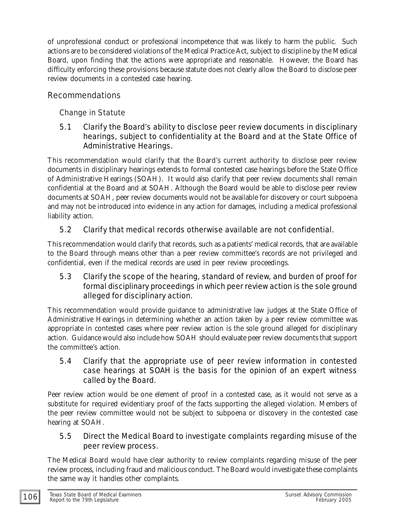of unprofessional conduct or professional incompetence that was likely to harm the public. Such actions are to be considered violations of the Medical Practice Act, subject to discipline by the Medical Board, upon finding that the actions were appropriate and reasonable. However, the Board has difficulty enforcing these provisions because statute does not clearly allow the Board to disclose peer review documents in a contested case hearing.

## Recommendations

# Change in Statute

### 5.1 Clarify the Board's ability to disclose peer review documents in disciplinary hearings, subject to confidentiality at the Board and at the State Office of Administrative Hearings.

This recommendation would clarify that the Board's current authority to disclose peer review documents in disciplinary hearings extends to formal contested case hearings before the State Office of Administrative Hearings (SOAH). It would also clarify that peer review documents shall remain confidential at the Board and at SOAH. Although the Board would be able to disclose peer review documents at SOAH, peer review documents would not be available for discovery or court subpoena and may not be introduced into evidence in any action for damages, including a medical professional liability action.

## 5.2 Clarify that medical records otherwise available are not confidential.

This recommendation would clarify that records, such as a patients' medical records, that are available to the Board through means other than a peer review committee's records are not privileged and confidential, even if the medical records are used in peer review proceedings.

### 5.3 Clarify the scope of the hearing, standard of review, and burden of proof for formal disciplinary proceedings in which peer review action is the sole ground alleged for disciplinary action.

This recommendation would provide guidance to administrative law judges at the State Office of Administrative Hearings in determining whether an action taken by a peer review committee was appropriate in contested cases where peer review action is the sole ground alleged for disciplinary action. Guidance would also include how SOAH should evaluate peer review documents that support the committee's action.

### 5.4 Clarify that the appropriate use of peer review information in contested case hearings at SOAH is the basis for the opinion of an expert witness called by the Board.

Peer review action would be one element of proof in a contested case, as it would not serve as a substitute for required evidentiary proof of the facts supporting the alleged violation. Members of the peer review committee would not be subject to subpoena or discovery in the contested case hearing at SOAH.

### 5.5 Direct the Medical Board to investigate complaints regarding misuse of the peer review process.

The Medical Board would have clear authority to review complaints regarding misuse of the peer review process, including fraud and malicious conduct. The Board would investigate these complaints the same way it handles other complaints.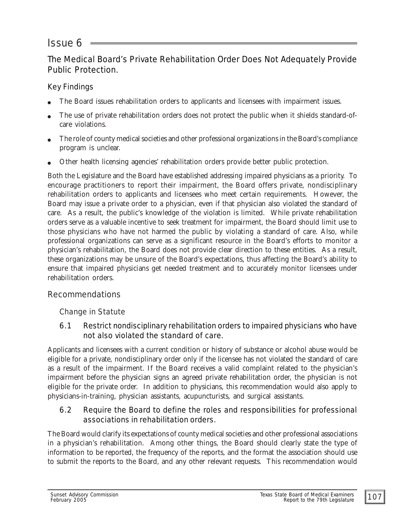# *Issue 6*

## The Medical Board's Private Rehabilitation Order Does Not Adequately Provide Public Protection.

### Key Findings

- The Board issues rehabilitation orders to applicants and licensees with impairment issues.
- The use of private rehabilitation orders does not protect the public when it shields standard-ofcare violations.
- The role of county medical societies and other professional organizations in the Board's compliance program is unclear.
- " Other health licensing agencies' rehabilitation orders provide better public protection.

Both the Legislature and the Board have established addressing impaired physicians as a priority. To encourage practitioners to report their impairment, the Board offers private, nondisciplinary rehabilitation orders to applicants and licensees who meet certain requirements. However, the Board may issue a private order to a physician, even if that physician also violated the standard of care. As a result, the public's knowledge of the violation is limited. While private rehabilitation orders serve as a valuable incentive to seek treatment for impairment, the Board should limit use to those physicians who have not harmed the public by violating a standard of care. Also, while professional organizations can serve as a significant resource in the Board's efforts to monitor a physician's rehabilitation, the Board does not provide clear direction to these entities. As a result, these organizations may be unsure of the Board's expectations, thus affecting the Board's ability to ensure that impaired physicians get needed treatment and to accurately monitor licensees under rehabilitation orders.

### Recommendations

### Change in Statute

### 6.1 Restrict nondisciplinary rehabilitation orders to impaired physicians who have not also violated the standard of care.

Applicants and licensees with a current condition or history of substance or alcohol abuse would be eligible for a private, nondisciplinary order only if the licensee has not violated the standard of care as a result of the impairment. If the Board receives a valid complaint related to the physician's impairment before the physician signs an agreed private rehabilitation order, the physician is not eligible for the private order. In addition to physicians, this recommendation would also apply to physicians-in-training, physician assistants, acupuncturists, and surgical assistants.

### 6.2 Require the Board to define the roles and responsibilities for professional associations in rehabilitation orders.

The Board would clarify its expectations of county medical societies and other professional associations in a physician's rehabilitation. Among other things, the Board should clearly state the type of information to be reported, the frequency of the reports, and the format the association should use to submit the reports to the Board, and any other relevant requests. This recommendation would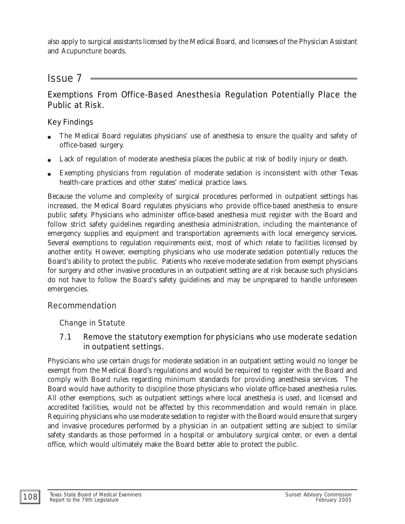also apply to surgical assistants licensed by the Medical Board, and licensees of the Physician Assistant and Acupuncture boards.

# *Issue 7*

### Exemptions From Office-Based Anesthesia Regulation Potentially Place the Public at Risk.

### Key Findings

- The Medical Board regulates physicians' use of anesthesia to ensure the quality and safety of office-based surgery.
- Lack of regulation of moderate anesthesia places the public at risk of bodily injury or death.
- Exempting physicians from regulation of moderate sedation is inconsistent with other Texas health-care practices and other states' medical practice laws.

Because the volume and complexity of surgical procedures performed in outpatient settings has increased, the Medical Board regulates physicians who provide office-based anesthesia to ensure public safety. Physicians who administer office-based anesthesia must register with the Board and follow strict safety guidelines regarding anesthesia administration, including the maintenance of emergency supplies and equipment and transportation agreements with local emergency services. Several exemptions to regulation requirements exist, most of which relate to facilities licensed by another entity. However, exempting physicians who use moderate sedation potentially reduces the Board's ability to protect the public. Patients who receive moderate sedation from exempt physicians for surgery and other invasive procedures in an outpatient setting are at risk because such physicians do not have to follow the Board's safety guidelines and may be unprepared to handle unforeseen emergencies.

### Recommendation

### Change in Statute

### 7.1 Remove the statutory exemption for physicians who use moderate sedation in outpatient settings.

Physicians who use certain drugs for moderate sedation in an outpatient setting would no longer be exempt from the Medical Board's regulations and would be required to register with the Board and comply with Board rules regarding minimum standards for providing anesthesia services. The Board would have authority to discipline those physicians who violate office-based anesthesia rules. All other exemptions, such as outpatient settings where local anesthesia is used, and licensed and accredited facilities, would not be affected by this recommendation and would remain in place. Requiring physicians who use moderate sedation to register with the Board would ensure that surgery and invasive procedures performed by a physician in an outpatient setting are subject to similar safety standards as those performed in a hospital or ambulatory surgical center, or even a dental office, which would ultimately make the Board better able to protect the public.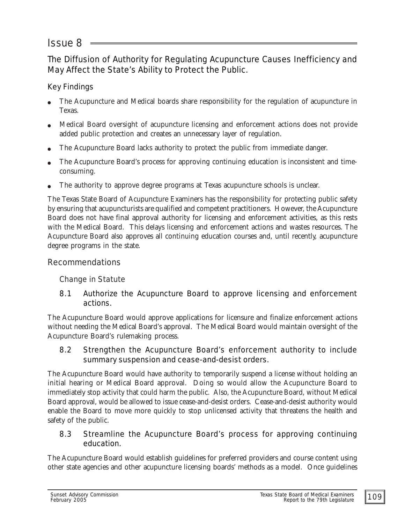# *Issue 8*

The Diffusion of Authority for Regulating Acupuncture Causes Inefficiency and May Affect the State's Ability to Protect the Public.

### Key Findings

- The Acupuncture and Medical boards share responsibility for the regulation of acupuncture in Texas.
- " Medical Board oversight of acupuncture licensing and enforcement actions does not provide added public protection and creates an unnecessary layer of regulation.
- The Acupuncture Board lacks authority to protect the public from immediate danger.
- The Acupuncture Board's process for approving continuing education is inconsistent and timeconsuming.
- The authority to approve degree programs at Texas acupuncture schools is unclear.

The Texas State Board of Acupuncture Examiners has the responsibility for protecting public safety by ensuring that acupuncturists are qualified and competent practitioners. However, the Acupuncture Board does not have final approval authority for licensing and enforcement activities, as this rests with the Medical Board. This delays licensing and enforcement actions and wastes resources. The Acupuncture Board also approves all continuing education courses and, until recently, acupuncture degree programs in the state.

### Recommendations

### Change in Statute

### 8.1 Authorize the Acupuncture Board to approve licensing and enforcement actions.

The Acupuncture Board would approve applications for licensure and finalize enforcement actions without needing the Medical Board's approval. The Medical Board would maintain oversight of the Acupuncture Board's rulemaking process.

### 8.2 Strengthen the Acupuncture Board's enforcement authority to include summary suspension and cease-and-desist orders.

The Acupuncture Board would have authority to temporarily suspend a license without holding an initial hearing or Medical Board approval. Doing so would allow the Acupuncture Board to immediately stop activity that could harm the public. Also, the Acupuncture Board, without Medical Board approval, would be allowed to issue cease-and-desist orders. Cease-and-desist authority would enable the Board to move more quickly to stop unlicensed activity that threatens the health and safety of the public.

### 8.3 Streamline the Acupuncture Board's process for approving continuing education.

The Acupuncture Board would establish guidelines for preferred providers and course content using other state agencies and other acupuncture licensing boards' methods as a model. Once guidelines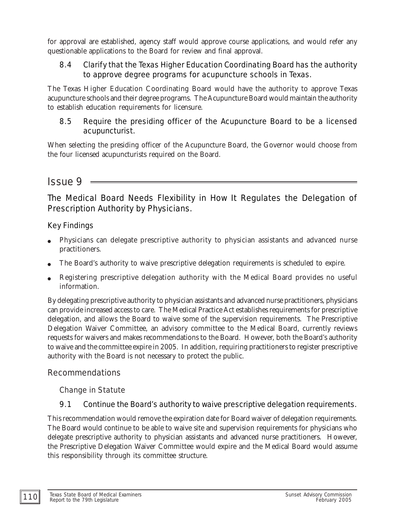for approval are established, agency staff would approve course applications, and would refer any questionable applications to the Board for review and final approval.

### 8.4 Clarify that the Texas Higher Education Coordinating Board has the authority to approve degree programs for acupuncture schools in Texas.

The Texas Higher Education Coordinating Board would have the authority to approve Texas acupuncture schools and their degree programs. The Acupuncture Board would maintain the authority to establish education requirements for licensure.

### 8.5 Require the presiding officer of the Acupuncture Board to be a licensed acupuncturist.

When selecting the presiding officer of the Acupuncture Board, the Governor would choose from the four licensed acupuncturists required on the Board.

# *Issue 9*

The Medical Board Needs Flexibility in How It Regulates the Delegation of Prescription Authority by Physicians.

### Key Findings

- Physicians can delegate prescriptive authority to physician assistants and advanced nurse practitioners.
- The Board's authority to waive prescriptive delegation requirements is scheduled to expire.
- Registering prescriptive delegation authority with the Medical Board provides no useful information.

By delegating prescriptive authority to physician assistants and advanced nurse practitioners, physicians can provide increased access to care. The Medical Practice Act establishes requirements for prescriptive delegation, and allows the Board to waive some of the supervision requirements. The Prescriptive Delegation Waiver Committee, an advisory committee to the Medical Board, currently reviews requests for waivers and makes recommendations to the Board. However, both the Board's authority to waive and the committee expire in 2005. In addition, requiring practitioners to register prescriptive authority with the Board is not necessary to protect the public.

### Recommendations

### Change in Statute

### 9.1 Continue the Board's authority to waive prescriptive delegation requirements.

This recommendation would remove the expiration date for Board waiver of delegation requirements. The Board would continue to be able to waive site and supervision requirements for physicians who delegate prescriptive authority to physician assistants and advanced nurse practitioners. However, the Prescriptive Delegation Waiver Committee would expire and the Medical Board would assume this responsibility through its committee structure.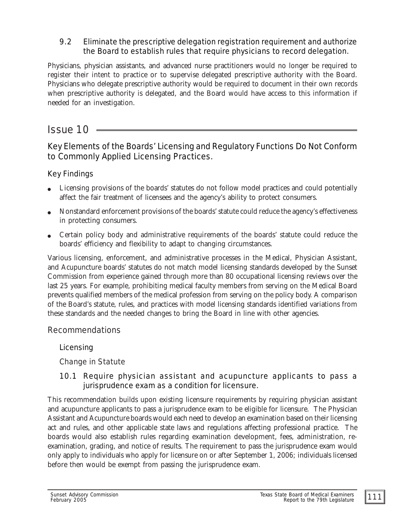### 9.2 Eliminate the prescriptive delegation registration requirement and authorize the Board to establish rules that require physicians to record delegation.

Physicians, physician assistants, and advanced nurse practitioners would no longer be required to register their intent to practice or to supervise delegated prescriptive authority with the Board. Physicians who delegate prescriptive authority would be required to document in their own records when prescriptive authority is delegated, and the Board would have access to this information if needed for an investigation.

# *Issue 10*

# Key Elements of the Boards' Licensing and Regulatory Functions Do Not Conform to Commonly Applied Licensing Practices.

### Key Findings

- Licensing provisions of the boards' statutes do not follow model practices and could potentially affect the fair treatment of licensees and the agency's ability to protect consumers.
- " Nonstandard enforcement provisions of the boards' statute could reduce the agency's effectiveness in protecting consumers.
- Certain policy body and administrative requirements of the boards' statute could reduce the boards' efficiency and flexibility to adapt to changing circumstances.

Various licensing, enforcement, and administrative processes in the Medical, Physician Assistant, and Acupuncture boards' statutes do not match model licensing standards developed by the Sunset Commission from experience gained through more than 80 occupational licensing reviews over the last 25 years. For example, prohibiting medical faculty members from serving on the Medical Board prevents qualified members of the medical profession from serving on the policy body. A comparison of the Board's statute, rules, and practices with model licensing standards identified variations from these standards and the needed changes to bring the Board in line with other agencies.

### Recommendations

### Licensing

### Change in Statute

### 10.1 Require physician assistant and acupuncture applicants to pass a jurisprudence exam as a condition for licensure.

This recommendation builds upon existing licensure requirements by requiring physician assistant and acupuncture applicants to pass a jurisprudence exam to be eligible for licensure. The Physician Assistant and Acupuncture boards would each need to develop an examination based on their licensing act and rules, and other applicable state laws and regulations affecting professional practice. The boards would also establish rules regarding examination development, fees, administration, reexamination, grading, and notice of results. The requirement to pass the jurisprudence exam would only apply to individuals who apply for licensure on or after September 1, 2006; individuals licensed before then would be exempt from passing the jurisprudence exam.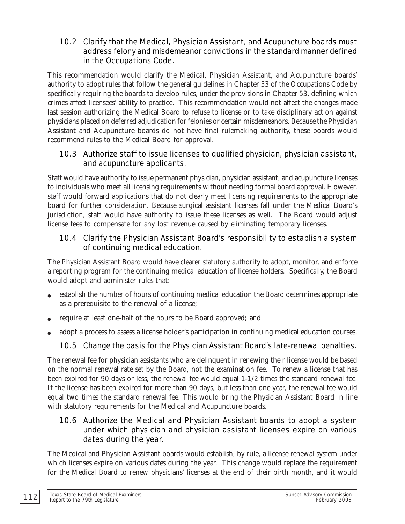### 10.2 Clarify that the Medical, Physician Assistant, and Acupuncture boards must address felony and misdemeanor convictions in the standard manner defined in the Occupations Code.

This recommendation would clarify the Medical, Physician Assistant, and Acupuncture boards' authority to adopt rules that follow the general guidelines in Chapter 53 of the Occupations Code by specifically requiring the boards to develop rules, under the provisions in Chapter 53, defining which crimes affect licensees' ability to practice. This recommendation would not affect the changes made last session authorizing the Medical Board to refuse to license or to take disciplinary action against physicians placed on deferred adjudication for felonies or certain misdemeanors. Because the Physician Assistant and Acupuncture boards do not have final rulemaking authority, these boards would recommend rules to the Medical Board for approval.

### 10.3 Authorize staff to issue licenses to qualified physician, physician assistant, and acupuncture applicants.

Staff would have authority to issue permanent physician, physician assistant, and acupuncture licenses to individuals who meet all licensing requirements without needing formal board approval. However, staff would forward applications that do not clearly meet licensing requirements to the appropriate board for further consideration. Because surgical assistant licenses fall under the Medical Board's jurisdiction, staff would have authority to issue these licenses as well. The Board would adjust license fees to compensate for any lost revenue caused by eliminating temporary licenses.

### 10.4 Clarify the Physician Assistant Board's responsibility to establish a system of continuing medical education.

The Physician Assistant Board would have clearer statutory authority to adopt, monitor, and enforce a reporting program for the continuing medical education of license holders. Specifically, the Board would adopt and administer rules that:

- " establish the number of hours of continuing medical education the Board determines appropriate as a prerequisite to the renewal of a license;
- require at least one-half of the hours to be Board approved; and
- adopt a process to assess a license holder's participation in continuing medical education courses.

# 10.5 Change the basis for the Physician Assistant Board's late-renewal penalties.

The renewal fee for physician assistants who are delinquent in renewing their license would be based on the normal renewal rate set by the Board, not the examination fee. To renew a license that has been expired for 90 days or less, the renewal fee would equal 1-1/2 times the standard renewal fee. If the license has been expired for more than 90 days, but less than one year, the renewal fee would equal two times the standard renewal fee. This would bring the Physician Assistant Board in line with statutory requirements for the Medical and Acupuncture boards.

### 10.6 Authorize the Medical and Physician Assistant boards to adopt a system under which physician and physician assistant licenses expire on various dates during the year.

The Medical and Physician Assistant boards would establish, by rule, a license renewal system under which licenses expire on various dates during the year. This change would replace the requirement for the Medical Board to renew physicians' licenses at the end of their birth month, and it would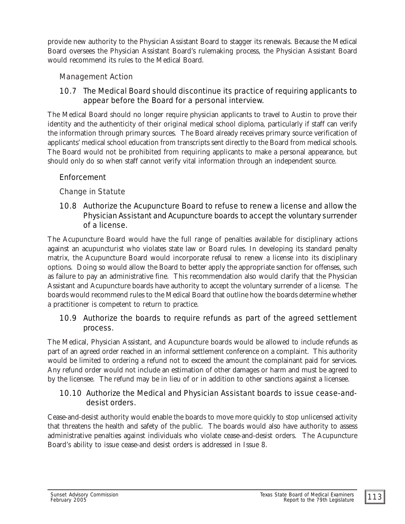provide new authority to the Physician Assistant Board to stagger its renewals. Because the Medical Board oversees the Physician Assistant Board's rulemaking process, the Physician Assistant Board would recommend its rules to the Medical Board.

### Management Action

### 10.7 The Medical Board should discontinue its practice of requiring applicants to appear before the Board for a personal interview.

The Medical Board should no longer require physician applicants to travel to Austin to prove their identity and the authenticity of their original medical school diploma, particularly if staff can verify the information through primary sources. The Board already receives primary source verification of applicants' medical school education from transcripts sent directly to the Board from medical schools. The Board would not be prohibited from requiring applicants to make a personal appearance, but should only do so when staff cannot verify vital information through an independent source.

### Enforcement

#### Change in Statute

#### 10.8 Authorize the Acupuncture Board to refuse to renew a license and allow the Physician Assistant and Acupuncture boards to accept the voluntary surrender of a license.

The Acupuncture Board would have the full range of penalties available for disciplinary actions against an acupuncturist who violates state law or Board rules. In developing its standard penalty matrix, the Acupuncture Board would incorporate refusal to renew a license into its disciplinary options. Doing so would allow the Board to better apply the appropriate sanction for offenses, such as failure to pay an administrative fine. This recommendation also would clarify that the Physician Assistant and Acupuncture boards have authority to accept the voluntary surrender of a license. The boards would recommend rules to the Medical Board that outline how the boards determine whether a practitioner is competent to return to practice.

### 10.9 Authorize the boards to require refunds as part of the agreed settlement process.

The Medical, Physician Assistant, and Acupuncture boards would be allowed to include refunds as part of an agreed order reached in an informal settlement conference on a complaint. This authority would be limited to ordering a refund not to exceed the amount the complainant paid for services. Any refund order would not include an estimation of other damages or harm and must be agreed to by the licensee. The refund may be in lieu of or in addition to other sanctions against a licensee.

#### 10.10 Authorize the Medical and Physician Assistant boards to issue cease-anddesist orders.

Cease-and-desist authority would enable the boards to move more quickly to stop unlicensed activity that threatens the health and safety of the public. The boards would also have authority to assess administrative penalties against individuals who violate cease-and-desist orders. The Acupuncture Board's ability to issue cease-and desist orders is addressed in Issue 8.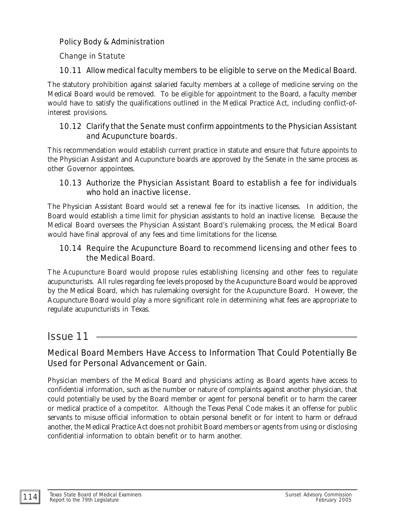### Policy Body & Administration

### Change in Statute

### 10.11 Allow medical faculty members to be eligible to serve on the Medical Board.

The statutory prohibition against salaried faculty members at a college of medicine serving on the Medical Board would be removed. To be eligible for appointment to the Board, a faculty member would have to satisfy the qualifications outlined in the Medical Practice Act, including conflict-ofinterest provisions.

### 10.12 Clarify that the Senate must confirm appointments to the Physician Assistant and Acupuncture boards.

This recommendation would establish current practice in statute and ensure that future appoints to the Physician Assistant and Acupuncture boards are approved by the Senate in the same process as other Governor appointees.

### 10.13 Authorize the Physician Assistant Board to establish a fee for individuals who hold an inactive license.

The Physician Assistant Board would set a renewal fee for its inactive licenses. In addition, the Board would establish a time limit for physician assistants to hold an inactive license. Because the Medical Board oversees the Physician Assistant Board's rulemaking process, the Medical Board would have final approval of any fees and time limitations for the license.

### 10.14 Require the Acupuncture Board to recommend licensing and other fees to the Medical Board.

The Acupuncture Board would propose rules establishing licensing and other fees to regulate acupuncturists. All rules regarding fee levels proposed by the Acupuncture Board would be approved by the Medical Board, which has rulemaking oversight for the Acupuncture Board. However, the Acupuncture Board would play a more significant role in determining what fees are appropriate to regulate acupuncturists in Texas.

# *Issue 11*

## Medical Board Members Have Access to Information That Could Potentially Be Used for Personal Advancement or Gain.

Physician members of the Medical Board and physicians acting as Board agents have access to confidential information, such as the number or nature of complaints against another physician, that could potentially be used by the Board member or agent for personal benefit or to harm the career or medical practice of a competitor. Although the Texas Penal Code makes it an offense for public servants to misuse official information to obtain personal benefit or for intent to harm or defraud another, the Medical Practice Act does not prohibit Board members or agents from using or disclosing confidential information to obtain benefit or to harm another.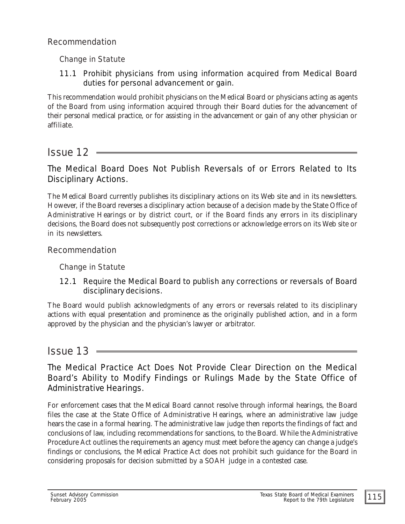### Recommendation

### Change in Statute

11.1 Prohibit physicians from using information acquired from Medical Board duties for personal advancement or gain.

This recommendation would prohibit physicians on the Medical Board or physicians acting as agents of the Board from using information acquired through their Board duties for the advancement of their personal medical practice, or for assisting in the advancement or gain of any other physician or affiliate.

# *Issue 12*

## The Medical Board Does Not Publish Reversals of or Errors Related to Its Disciplinary Actions.

The Medical Board currently publishes its disciplinary actions on its Web site and in its newsletters. However, if the Board reverses a disciplinary action because of a decision made by the State Office of Administrative Hearings or by district court, or if the Board finds any errors in its disciplinary decisions, the Board does not subsequently post corrections or acknowledge errors on its Web site or in its newsletters.

### Recommendation

Change in Statute

### 12.1 Require the Medical Board to publish any corrections or reversals of Board disciplinary decisions.

The Board would publish acknowledgments of any errors or reversals related to its disciplinary actions with equal presentation and prominence as the originally published action, and in a form approved by the physician and the physician's lawyer or arbitrator.

# *Issue 13*

## The Medical Practice Act Does Not Provide Clear Direction on the Medical Board's Ability to Modify Findings or Rulings Made by the State Office of Administrative Hearings.

For enforcement cases that the Medical Board cannot resolve through informal hearings, the Board files the case at the State Office of Administrative Hearings, where an administrative law judge hears the case in a formal hearing. The administrative law judge then reports the findings of fact and conclusions of law, including recommendations for sanctions, to the Board. While the Administrative Procedure Act outlines the requirements an agency must meet before the agency can change a judge's findings or conclusions, the Medical Practice Act does not prohibit such guidance for the Board in considering proposals for decision submitted by a SOAH judge in a contested case.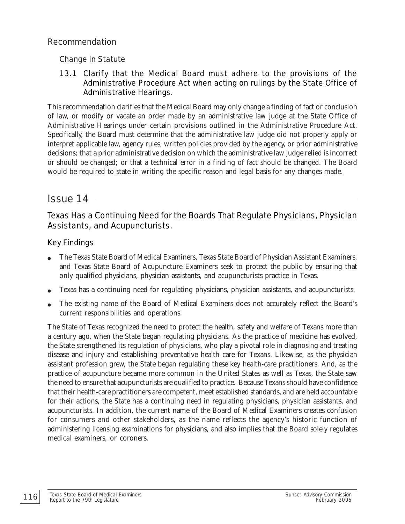### Recommendation

Change in Statute

### 13.1 Clarify that the Medical Board must adhere to the provisions of the Administrative Procedure Act when acting on rulings by the State Office of Administrative Hearings.

This recommendation clarifies that the Medical Board may only change a finding of fact or conclusion of law, or modify or vacate an order made by an administrative law judge at the State Office of Administrative Hearings under certain provisions outlined in the Administrative Procedure Act. Specifically, the Board must determine that the administrative law judge did not properly apply or interpret applicable law, agency rules, written policies provided by the agency, or prior administrative decisions; that a prior administrative decision on which the administrative law judge relied is incorrect or should be changed; or that a technical error in a finding of fact should be changed. The Board would be required to state in writing the specific reason and legal basis for any changes made.

# *Issue 14*

# Texas Has a Continuing Need for the Boards That Regulate Physicians, Physician Assistants, and Acupuncturists.

## Key Findings

- " The Texas State Board of Medical Examiners, Texas State Board of Physician Assistant Examiners, and Texas State Board of Acupuncture Examiners seek to protect the public by ensuring that only qualified physicians, physician assistants, and acupuncturists practice in Texas.
- Texas has a continuing need for regulating physicians, physician assistants, and acupuncturists.
- The existing name of the Board of Medical Examiners does not accurately reflect the Board's current responsibilities and operations.

The State of Texas recognized the need to protect the health, safety and welfare of Texans more than a century ago, when the State began regulating physicians. As the practice of medicine has evolved, the State strengthened its regulation of physicians, who play a pivotal role in diagnosing and treating disease and injury and establishing preventative health care for Texans. Likewise, as the physician assistant profession grew, the State began regulating these key health-care practitioners. And, as the practice of acupuncture became more common in the United States as well as Texas, the State saw the need to ensure that acupuncturists are qualified to practice. Because Texans should have confidence that their health-care practitioners are competent, meet established standards, and are held accountable for their actions, the State has a continuing need in regulating physicians, physician assistants, and acupuncturists. In addition, the current name of the Board of Medical Examiners creates confusion for consumers and other stakeholders, as the name reflects the agency's historic function of administering licensing examinations for physicians, and also implies that the Board solely regulates medical examiners, or coroners.